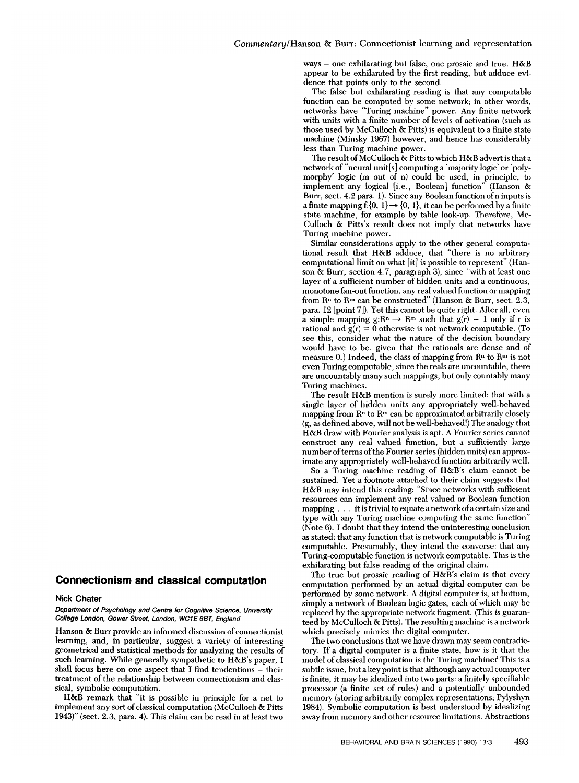ways - one exhilarating but false, one prosaic and true. H&B appear to be exhilarated by the first reading, but adduce evi- dence that points only to the second.

The false but exhilarating reading is that any computable function can be computed by some network; in other words, networks have "Turing machine" power. Any finite network with units with a finite number of levels of activation (such as those used by McCulloch & Pitts) is equivalent to a finite state machine (MInsky 1967) however, and hence has considerably less than Turing machine power.

The result of McCulloch & Pitts to which H&B advert is that a network of "neural unit[s] computing a 'majority logic' or 'poly- morphy' logic (m out of n) could be used, In principle, to Implement any logical [i.e., Boolean] function" (Hanson & Burr, sect. 4.2 para. 1). Since any Boolean function of n inputs is a finite mapping f: $\{0, 1\} \rightarrow \{0, 1\}$ , it can be performed by a finite state machine, for example by table look-up. Therefore, Mc- Culloch & Pitts's result does not imply that networks have Turing machine power.

Similar considerations apply to the other general computational result that H&B adduce, that "there is no arbitrary computational limit on what [it] is possible to represent" (Hanson & Burr, section 4.7, paragraph 3), since "with at least one layer of a sufficient number of hidden units and a continuous, monotone fan-out function, any real valued function or mapping from  $\mathbb{R}^n$  to  $\mathbb{R}^m$  can be constructed" (Hanson & Burr, sect. 2.3, para. 12 [point 7]). Yet this cannot be quite right. After all, even a simple mapping  $g: \mathbb{R}^n \to \mathbb{R}^m$  such that  $g(r) = 1$  only if r is rational and  $g(r) = 0$  otherwise is not network computable. (To see this, consider what the nature of the decision boundary would have to be, given that the rationals are dense and of measure  $0$ .) Indeed, the class of mapping from  $\mathbb{R}^n$  to  $\mathbb{R}^m$  is not even Turing computable, since the reals are uncountable, there are uncountably many such mappings, but only countably many Turing machines.

The result H&B mention is surely more limited: that with a single layer of hidden units any appropriately well-behaved mapping from  $\mathbb{R}^n$  to  $\mathbb{R}^m$  can be approximated arbitrarily closely (g, as defined above, will not be well-behaved!) The analogy that H&B draw with Fourier analysis is apt. A Fourier series cannot construct any real valued function, but a sufficiently large number of terms of the Fourier series (hidden units) can approx imate any appropriately well-behaved function arbitrarily well.

So a Turing machine reading of H&B's claim cannot be sustained. Yet a footnote attached to their claim suggests that H&B may intend this reading: "Since networks with sufficient resources can implement any real valued or Boolean function mapping . . . it is trivial to equate a network of a certain size and type with any Turing machine computing the same function" (Note 6). I doubt that they intend the uninteresting conclusion as stated: that any function that is network computable is Turing computable. Presumably, they intend the converse: that any Turing-computable function is network computable. This is the exhilarating but false reading of the original claim.

The true but prosaic reading of H&B's claim is that every computation performed by an actual digital computer can be performed by some network. A digital computer is, at bottom, simply a network of Boolean logic gates, each of which may be replaced by the appropriate network fragment. (This *is* guaran- teed by McCulloch & Pitts). The resulting machine is a network which precisely mimics the digital computer.

The two conclusions that we have drawn may seem contradictory. If a digital computer is a finite state, how is it that the model of classical computation is the Turing machine? This is a subtle issue, but a key point is that although any actual computer is finite, it may be idealized into two parts: a finitely specifiable processor (a finite set of rules) and a potentially unbounded memory (storing arbitrarily complex representations; Pylyshyn 1984). Symbolic computation is best understood by idealizing away from memory and other resource limitations. Abstractions

## Connectionism and classical computation

## Nick Chater

Department of Psychology and Centre for Cognitive Science, University College London, Gower Street, London, WC1E 6BT, England

Hanson & Burr provide an informed discussion of connectionist learning, and, in particular, suggest a variety of interesting geometrical and statistical methods for analyzing the results of such learning. While generally sympathetic to H&B's paper, I shall focus here on one aspect that I find tendentious  $-$  their treatment of the relationship between connectionism and clas sical, symbolic computation.

H&B remark that "It is possible in principle for a net to implement any sort of classical computation (McCulloch & Pitts 1943)" (sect. 2.3, para. 4). This claim can be read in at least two